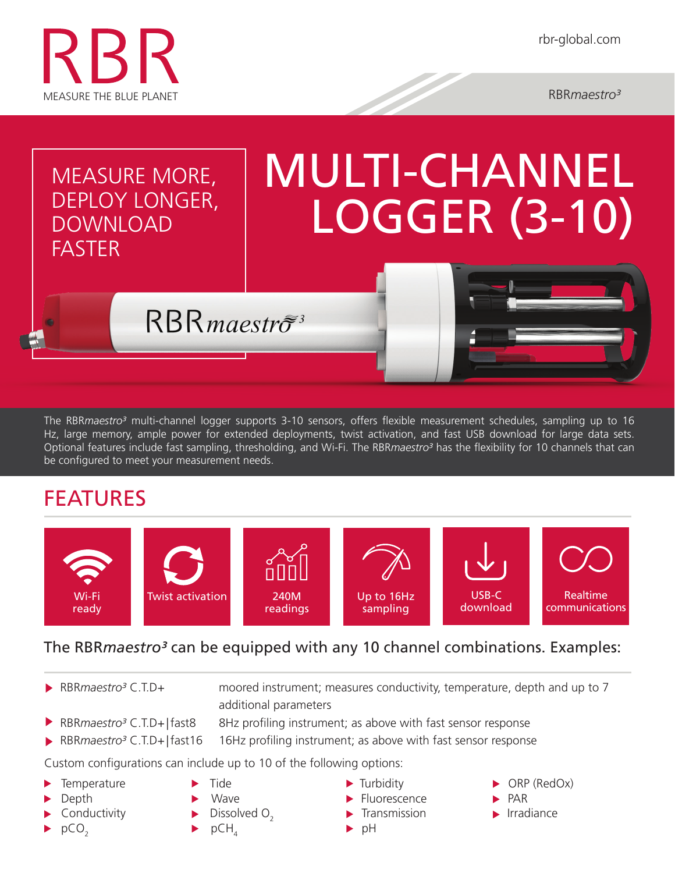

# MEASURE MORE, DEPLOY LONGER, DOWNLOAD **FASTER** MULTI-CHANNEL LOGGER (3-10)

The RBR*maestro³* multi-channel logger supports 3-10 sensors, offers flexible measurement schedules, sampling up to 16 Hz, large memory, ample power for extended deployments, twist activation, and fast USB download for large data sets. Optional features include fast sampling, thresholding, and Wi-Fi. The RBR*maestro³* has the flexibility for 10 channels that can be configured to meet your measurement needs.

## FEATURES



## The RBR*maestro<sup>3</sup>* can be equipped with any 10 channel combinations. Examples:

RBR*maestro<sup>3</sup>* C.T.D+ moored instrument; measures conductivity, temperature, depth and up to 7 additional parameters

- 
- ▶ RBR*maestro<sup>3</sup>* C.T.D+ | fast8 8Hz profiling instrument; as above with fast sensor response
- ▶ RBR*maestro<sup>3</sup>* C.T.D+ | fast16 16Hz profiling instrument; as above with fast sensor response

Custom configurations can include up to 10 of the following options:

 $RBR$ *maestro<sup>3</sup>* 

- 
- Depth **Depth** Wave **Fluorescence PAR**
- 
- 
- 
- $\Box$  Conductivity  $\Box$  Dissolved  $\Box$
- $\triangleright$  pCO<sub>2</sub>  $\triangleright$  pCH<sub>4</sub>  $\triangleright$  pH
- 
- 
- Transmission **IF Provide Irradiance** 
	-
- Temperature  $\longrightarrow$  Tide  $\longrightarrow$  Turbidity  $\longrightarrow$  ORP (RedOx)
	-
	-